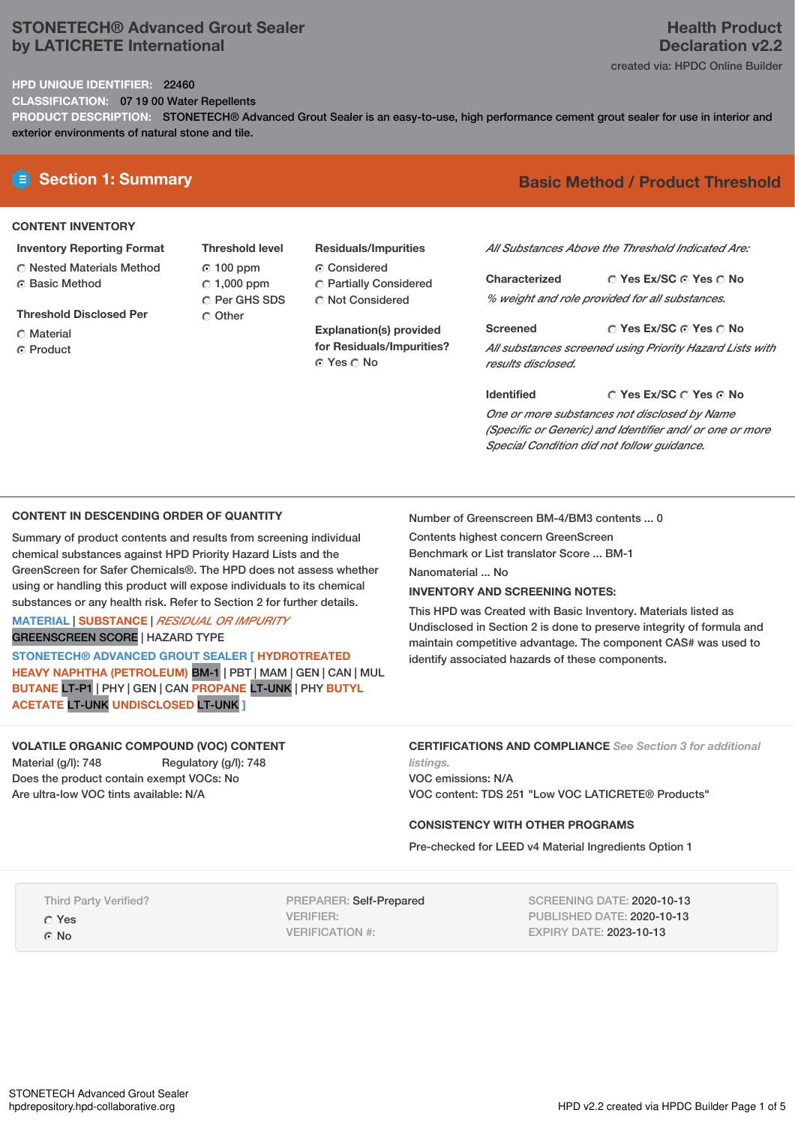## **STONETECH® Advanced Grout Sealer by LATICRETE International**

# **Health Product Declaration v2.2**

created via: HPDC Online Builder

#### **HPD UNIQUE IDENTIFIER:** 22460

**CLASSIFICATION:** 07 19 00 Water Repellents

**PRODUCT DESCRIPTION:** STONETECH® Advanced Grout Sealer is an easy-to-use, high performance cement grout sealer for use in interior and exterior environments of natural stone and tile.

#### **CONTENT INVENTORY**

- **Inventory Reporting Format** Nested Materials Method
- **G** Basic Method
- **Threshold Disclosed Per**
- C Material
- **C** Product
- **Threshold level** 100 ppm  $C$  1,000 ppm C Per GHS SDS O Other
- **Residuals/Impurities** Considered Partially Considered C Not Considered

**Explanation(s) provided for Residuals/Impurities?** © Yes ∩ No

# **E** Section 1: Summary **Basic** Method / Product Threshold

*All Substances Above the Threshold Indicated Are:*

**Yes Ex/SC Yes No Characterized** *% weight and role provided for all substances.*

**Yes Ex/SC Yes No Screened** *All substances screened using Priority Hazard Lists with results disclosed.*

**Yes Ex/SC Yes No Identified** *One or more substances not disclosed by Name (Specific or Generic) and Identifier and/ or one or more Special Condition did not follow guidance.*

## **CONTENT IN DESCENDING ORDER OF QUANTITY**

Summary of product contents and results from screening individual chemical substances against HPD Priority Hazard Lists and the GreenScreen for Safer Chemicals®. The HPD does not assess whether using or handling this product will expose individuals to its chemical substances or any health risk. Refer to Section 2 for further details.

#### **MATERIAL** | **SUBSTANCE** | *RESIDUAL OR IMPURITY* GREENSCREEN SCORE | HAZARD TYPE

**STONETECH® ADVANCED GROUT SEALER [ HYDROTREATED HEAVY NAPHTHA (PETROLEUM)** BM-1 | PBT | MAM |GEN | CAN | MUL **BUTANE** LT-P1 | PHY | GEN | CAN **PROPANE** LT-UNK | PHY **BUTYL ACETATE** LT-UNK **UNDISCLOSED** LT-UNK **]**

Number of Greenscreen BM-4/BM3 contents ... 0

Contents highest concern GreenScreen Benchmark or List translator Score ... BM-1

Nanomaterial ... No

#### **INVENTORY AND SCREENING NOTES:**

This HPD was Created with Basic Inventory. Materials listed as Undisclosed in Section 2 is done to preserve integrity of formula and maintain competitive advantage. The component CAS# was used to identify associated hazards of these components.

#### **VOLATILE ORGANIC COMPOUND (VOC) CONTENT**

Material (g/l): 748 Regulatory (g/l): 748 Does the product contain exempt VOCs: No Are ultra-low VOC tints available: N/A

**CERTIFICATIONS AND COMPLIANCE** *See Section 3 for additional*

*listings.* VOC emissions: N/A VOC content: TDS 251 "Low VOC LATICRETE® Products"

### **CONSISTENCY WITH OTHER PROGRAMS**

Pre-checked for LEED v4 Material Ingredients Option 1

Third Party Verified?

Yes

⊙ No

PREPARER: Self-Prepared VERIFIER: VERIFICATION #:

SCREENING DATE: 2020-10-13 PUBLISHED DATE: 2020-10-13 EXPIRY DATE: 2023-10-13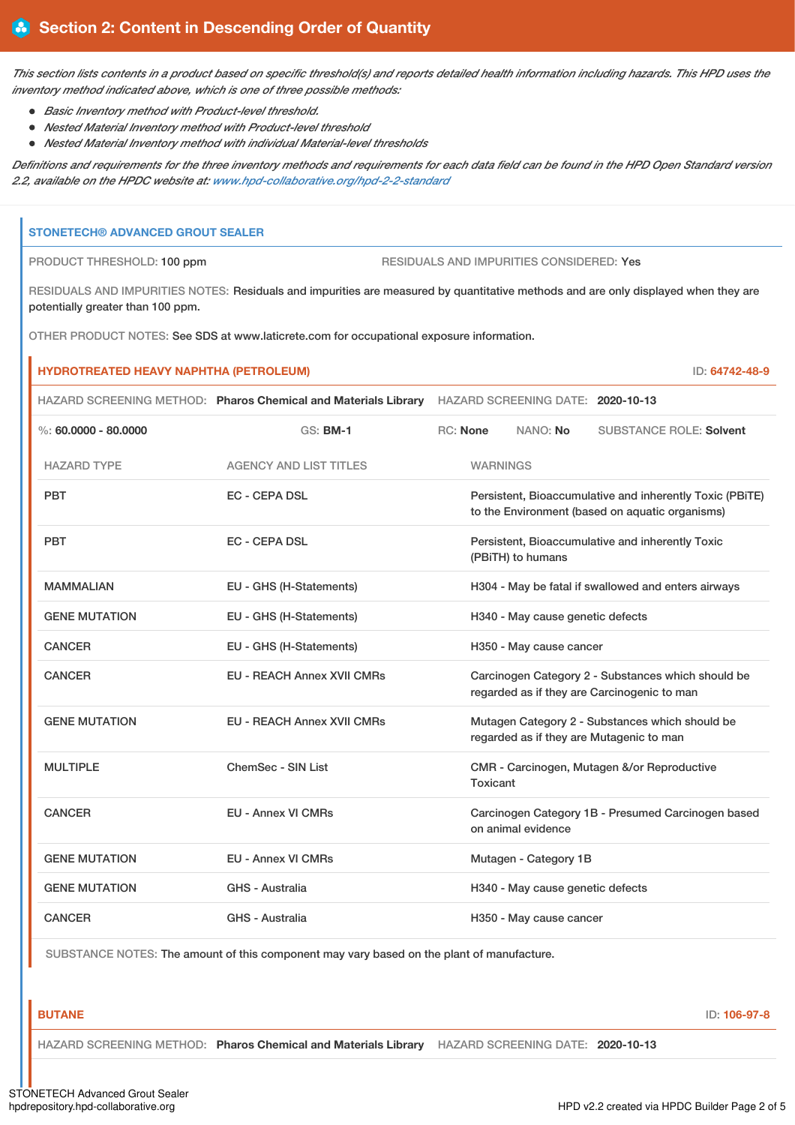This section lists contents in a product based on specific threshold(s) and reports detailed health information including hazards. This HPD uses the *inventory method indicated above, which is one of three possible methods:*

- *Basic Inventory method with Product-level threshold.*
- *Nested Material Inventory method with Product-level threshold*
- *Nested Material Inventory method with individual Material-level thresholds*

Definitions and requirements for the three inventory methods and requirements for each data field can be found in the HPD Open Standard version *2.2, available on the HPDC website at: [www.hpd-collaborative.org/hpd-2-2-standard](https://www.hpd-collaborative.org/hpd-2-2-standard)*

#### **STONETECH® ADVANCED GROUT SEALER**

PRODUCT THRESHOLD: 100 ppm RESIDUALS AND IMPURITIES CONSIDERED: Yes

RESIDUALS AND IMPURITIES NOTES: Residuals and impurities are measured by quantitative methods and are only displayed when they are potentially greater than 100 ppm.

OTHER PRODUCT NOTES: See SDS at www.laticrete.com for occupational exposure information.

| <b>HYDROTREATED HEAVY NAPHTHA (PETROLEUM)</b><br>ID: 64742-48-9 |                                                                |                                                                                                             |                                   |                                                                                                   |  |  |
|-----------------------------------------------------------------|----------------------------------------------------------------|-------------------------------------------------------------------------------------------------------------|-----------------------------------|---------------------------------------------------------------------------------------------------|--|--|
|                                                                 | HAZARD SCREENING METHOD: Pharos Chemical and Materials Library |                                                                                                             | HAZARD SCREENING DATE: 2020-10-13 |                                                                                                   |  |  |
| %: $60,0000 - 80,0000$                                          | <b>GS: BM-1</b>                                                | <b>RC:</b> None                                                                                             | NANO: No                          | <b>SUBSTANCE ROLE: Solvent</b>                                                                    |  |  |
| <b>HAZARD TYPE</b>                                              | <b>AGENCY AND LIST TITLES</b>                                  |                                                                                                             | <b>WARNINGS</b>                   |                                                                                                   |  |  |
| <b>PBT</b>                                                      | <b>EC - CEPA DSL</b>                                           | Persistent, Bioaccumulative and inherently Toxic (PBiTE)<br>to the Environment (based on aquatic organisms) |                                   |                                                                                                   |  |  |
| <b>PBT</b>                                                      | <b>EC - CEPA DSL</b>                                           | Persistent, Bioaccumulative and inherently Toxic<br>(PBiTH) to humans                                       |                                   |                                                                                                   |  |  |
| <b>MAMMALIAN</b>                                                | EU - GHS (H-Statements)                                        | H304 - May be fatal if swallowed and enters airways                                                         |                                   |                                                                                                   |  |  |
| <b>GENE MUTATION</b>                                            | EU - GHS (H-Statements)                                        | H340 - May cause genetic defects                                                                            |                                   |                                                                                                   |  |  |
| <b>CANCER</b>                                                   | EU - GHS (H-Statements)                                        |                                                                                                             | H350 - May cause cancer           |                                                                                                   |  |  |
| <b>CANCER</b>                                                   | <b>EU - REACH Annex XVII CMRs</b>                              |                                                                                                             |                                   | Carcinogen Category 2 - Substances which should be<br>regarded as if they are Carcinogenic to man |  |  |
| <b>GENE MUTATION</b>                                            | <b>EU - REACH Annex XVII CMRs</b>                              | Mutagen Category 2 - Substances which should be<br>regarded as if they are Mutagenic to man                 |                                   |                                                                                                   |  |  |
| <b>MULTIPLE</b>                                                 | ChemSec - SIN List                                             | CMR - Carcinogen, Mutagen &/or Reproductive<br>Toxicant                                                     |                                   |                                                                                                   |  |  |
| <b>CANCER</b>                                                   | <b>EU - Annex VI CMRs</b>                                      | Carcinogen Category 1B - Presumed Carcinogen based<br>on animal evidence                                    |                                   |                                                                                                   |  |  |
| <b>GENE MUTATION</b>                                            | <b>EU - Annex VI CMRs</b>                                      |                                                                                                             | Mutagen - Category 1B             |                                                                                                   |  |  |
| <b>GENE MUTATION</b>                                            | <b>GHS - Australia</b>                                         |                                                                                                             | H340 - May cause genetic defects  |                                                                                                   |  |  |
| <b>CANCER</b>                                                   | <b>GHS - Australia</b>                                         |                                                                                                             | H350 - May cause cancer           |                                                                                                   |  |  |

SUBSTANCE NOTES: The amount of this component may vary based on the plant of manufacture.

**BUTANE** ID: **106-97-8**

HAZARD SCREENING METHOD: **Pharos Chemical and Materials Library** HAZARD SCREENING DATE: **2020-10-13**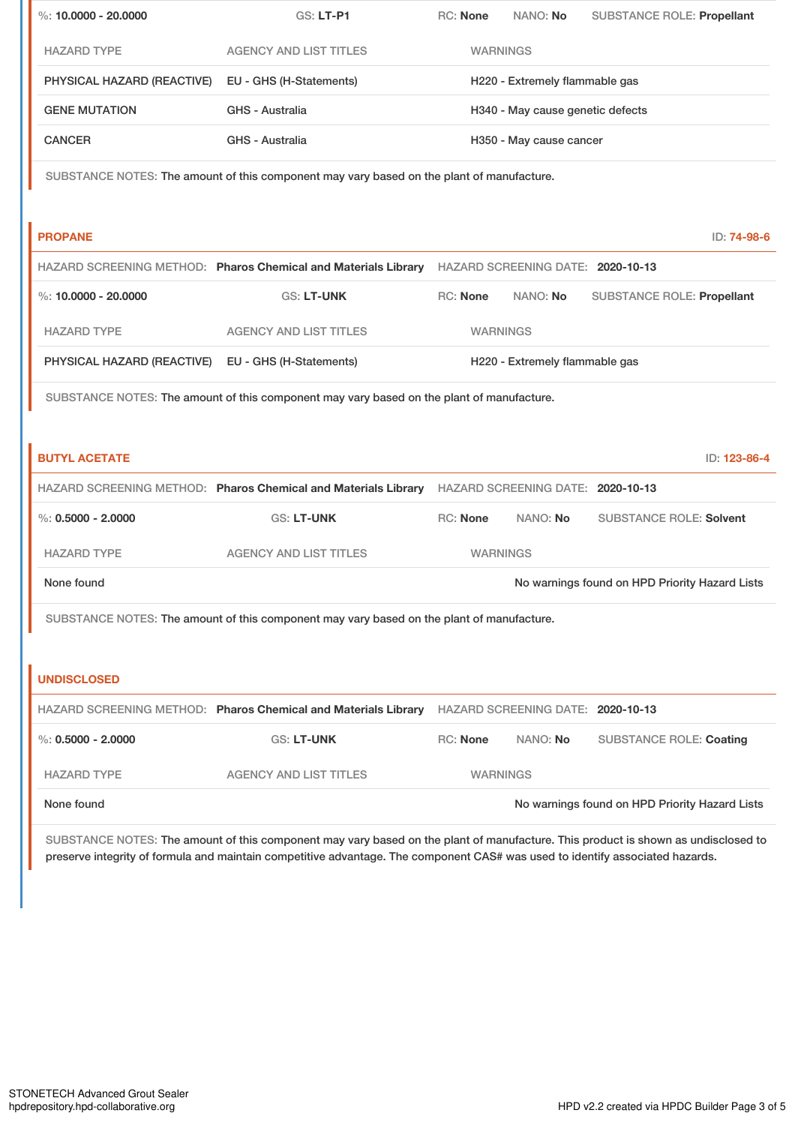| %: 10.0000 - 20.0000                                                                      | GS: LT-P1                                                                                        | RC: None                         | NANO: No | <b>SUBSTANCE ROLE: Propellant</b>              |  |  |
|-------------------------------------------------------------------------------------------|--------------------------------------------------------------------------------------------------|----------------------------------|----------|------------------------------------------------|--|--|
| <b>HAZARD TYPE</b>                                                                        | <b>AGENCY AND LIST TITLES</b>                                                                    | <b>WARNINGS</b>                  |          |                                                |  |  |
| PHYSICAL HAZARD (REACTIVE)                                                                | EU - GHS (H-Statements)                                                                          | H220 - Extremely flammable gas   |          |                                                |  |  |
| <b>GENE MUTATION</b>                                                                      | GHS - Australia                                                                                  | H340 - May cause genetic defects |          |                                                |  |  |
| <b>CANCER</b>                                                                             | <b>GHS - Australia</b>                                                                           | H350 - May cause cancer          |          |                                                |  |  |
| SUBSTANCE NOTES: The amount of this component may vary based on the plant of manufacture. |                                                                                                  |                                  |          |                                                |  |  |
|                                                                                           |                                                                                                  |                                  |          |                                                |  |  |
| <b>PROPANE</b>                                                                            |                                                                                                  |                                  |          | ID: 74-98-6                                    |  |  |
|                                                                                           | HAZARD SCREENING METHOD: Pharos Chemical and Materials Library HAZARD SCREENING DATE: 2020-10-13 |                                  |          |                                                |  |  |
| %: 10.0000 - 20.0000                                                                      | <b>GS: LT-UNK</b>                                                                                | RC: None                         | NANO: No | <b>SUBSTANCE ROLE: Propellant</b>              |  |  |
| <b>HAZARD TYPE</b>                                                                        | <b>AGENCY AND LIST TITLES</b>                                                                    | <b>WARNINGS</b>                  |          |                                                |  |  |
| PHYSICAL HAZARD (REACTIVE)                                                                | EU - GHS (H-Statements)                                                                          | H220 - Extremely flammable gas   |          |                                                |  |  |
| SUBSTANCE NOTES: The amount of this component may vary based on the plant of manufacture. |                                                                                                  |                                  |          |                                                |  |  |
|                                                                                           |                                                                                                  |                                  |          |                                                |  |  |
| <b>BUTYL ACETATE</b>                                                                      |                                                                                                  |                                  |          | ID: 123-86-4                                   |  |  |
|                                                                                           |                                                                                                  |                                  |          |                                                |  |  |
|                                                                                           | HAZARD SCREENING METHOD: Pharos Chemical and Materials Library HAZARD SCREENING DATE: 2020-10-13 |                                  |          |                                                |  |  |
| %: $0.5000 - 2.0000$                                                                      | <b>GS: LT-UNK</b>                                                                                | RC: None                         | NANO: No | <b>SUBSTANCE ROLE: Solvent</b>                 |  |  |
| <b>HAZARD TYPE</b>                                                                        | <b>AGENCY AND LIST TITLES</b>                                                                    | <b>WARNINGS</b>                  |          |                                                |  |  |
| None found                                                                                |                                                                                                  |                                  |          | No warnings found on HPD Priority Hazard Lists |  |  |
|                                                                                           | SUBSTANCE NOTES: The amount of this component may vary based on the plant of manufacture.        |                                  |          |                                                |  |  |
|                                                                                           |                                                                                                  |                                  |          |                                                |  |  |
| <b>UNDISCLOSED</b>                                                                        |                                                                                                  |                                  |          |                                                |  |  |
|                                                                                           | HAZARD SCREENING METHOD: Pharos Chemical and Materials Library HAZARD SCREENING DATE: 2020-10-13 |                                  |          |                                                |  |  |
| %: $0.5000 - 2.0000$                                                                      | <b>GS: LT-UNK</b>                                                                                | RC: None                         | NANO: No | <b>SUBSTANCE ROLE: Coating</b>                 |  |  |
| <b>HAZARD TYPE</b>                                                                        | <b>AGENCY AND LIST TITLES</b>                                                                    | <b>WARNINGS</b>                  |          |                                                |  |  |

SUBSTANCE NOTES: The amount of this component may vary based on the plant of manufacture. This product is shown as undisclosed to preserve integrity of formula and maintain competitive advantage. The component CAS# was used to identify associated hazards.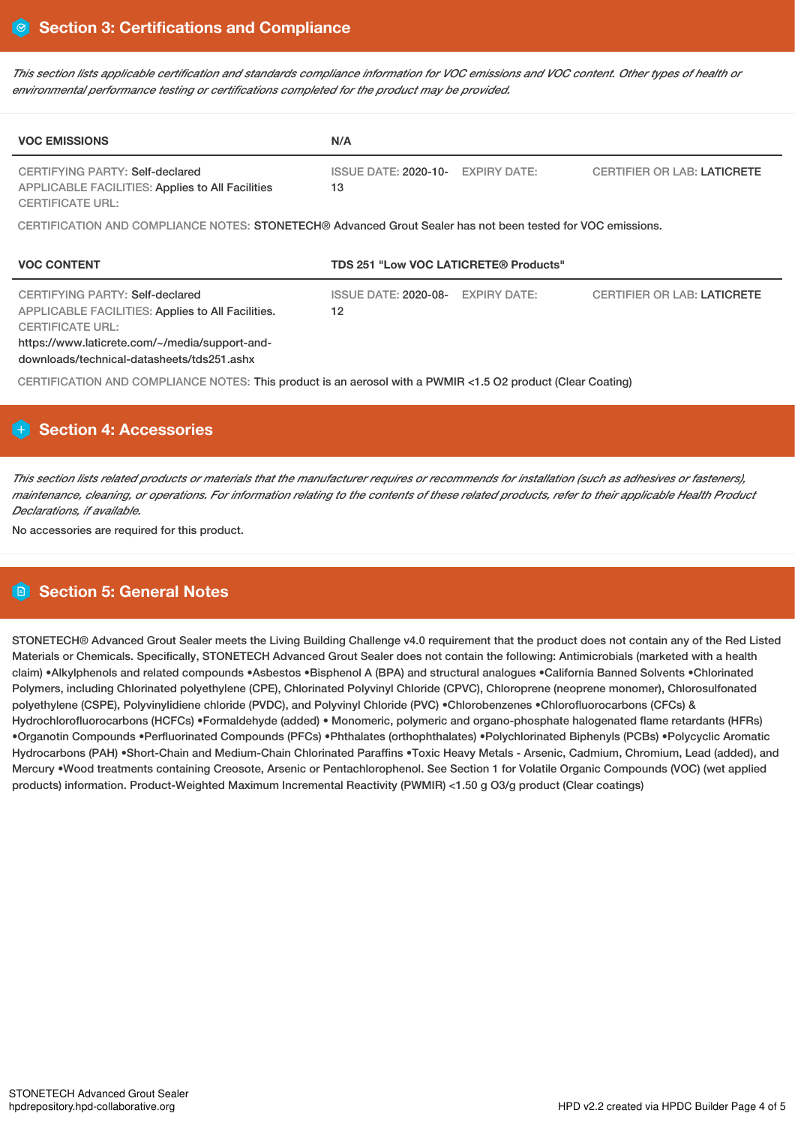This section lists applicable certification and standards compliance information for VOC emissions and VOC content. Other types of health or *environmental performance testing or certifications completed for the product may be provided.*

| <b>VOC EMISSIONS</b>                                                                                                                                                                                                   | N/A                                   |                     |                                    |  |  |  |
|------------------------------------------------------------------------------------------------------------------------------------------------------------------------------------------------------------------------|---------------------------------------|---------------------|------------------------------------|--|--|--|
| CERTIFYING PARTY: Self-declared<br><b>APPLICABLE FACILITIES: Applies to All Facilities</b><br><b>CERTIFICATE URL:</b>                                                                                                  | <b>ISSUE DATE: 2020-10-</b><br>13     | <b>EXPIRY DATE:</b> | <b>CERTIFIER OR LAB: LATICRETE</b> |  |  |  |
| CERTIFICATION AND COMPLIANCE NOTES: STONETECH® Advanced Grout Sealer has not been tested for VOC emissions.                                                                                                            |                                       |                     |                                    |  |  |  |
| <b>VOC CONTENT</b>                                                                                                                                                                                                     | TDS 251 "Low VOC LATICRETE® Products" |                     |                                    |  |  |  |
| CERTIFYING PARTY: Self-declared<br><b>APPLICABLE FACILITIES: Applies to All Facilities.</b><br><b>CERTIFICATE URL:</b><br>https://www.laticrete.com/~/media/support-and-<br>downloads/technical-datasheets/tds251.ashx | <b>ISSUE DATE: 2020-08-</b><br>12     | <b>EXPIRY DATE:</b> | <b>CERTIFIER OR LAB: LATICRETE</b> |  |  |  |
| CERTIFICATION AND COMPLIANCE NOTES: This product is an aerosol with a PWMIR <1.5 O2 product (Clear Coating)                                                                                                            |                                       |                     |                                    |  |  |  |

# **Section 4: Accessories**

This section lists related products or materials that the manufacturer requires or recommends for installation (such as adhesives or fasteners), maintenance, cleaning, or operations. For information relating to the contents of these related products, refer to their applicable Health Product *Declarations, if available.*

No accessories are required for this product.

## **Section 5: General Notes**

STONETECH® Advanced Grout Sealer meets the Living Building Challenge v4.0 requirement that the product does not contain any of the Red Listed Materials or Chemicals. Specifically, STONETECH Advanced Grout Sealer does not contain the following: Antimicrobials (marketed with a health claim) •Alkylphenols and related compounds •Asbestos •Bisphenol A (BPA) and structural analogues •California Banned Solvents •Chlorinated Polymers, including Chlorinated polyethylene (CPE), Chlorinated Polyvinyl Chloride (CPVC), Chloroprene (neoprene monomer), Chlorosulfonated polyethylene (CSPE), Polyvinylidiene chloride (PVDC), and Polyvinyl Chloride (PVC) •Chlorobenzenes •Chlorofluorocarbons (CFCs) & Hydrochlorofluorocarbons (HCFCs) •Formaldehyde (added) • Monomeric, polymeric and organo-phosphate halogenated flame retardants (HFRs) •Organotin Compounds •Perfluorinated Compounds (PFCs) •Phthalates (orthophthalates) •Polychlorinated Biphenyls (PCBs) •Polycyclic Aromatic Hydrocarbons (PAH) •Short-Chain and Medium-Chain Chlorinated Paraffins •Toxic Heavy Metals - Arsenic, Cadmium, Chromium, Lead (added), and Mercury •Wood treatments containing Creosote, Arsenic or Pentachlorophenol. See Section 1 for Volatile Organic Compounds (VOC) (wet applied products) information. Product-Weighted Maximum Incremental Reactivity (PWMIR) <1.50 g O3/g product (Clear coatings)